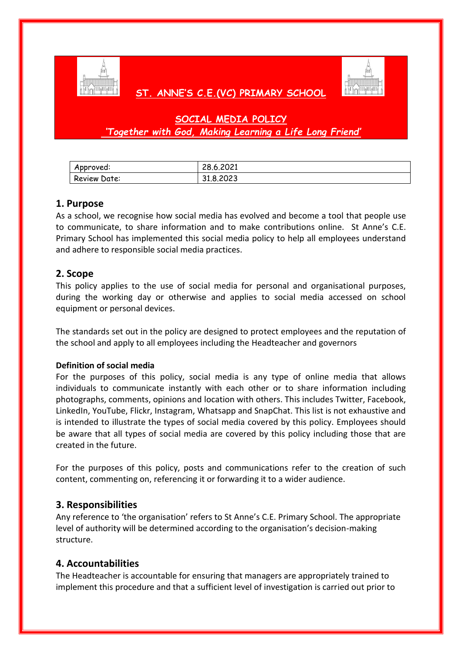

# **ST. ANNE'S C.E.(VC) PRIMARY SCHOOL**



# **SOCIAL MEDIA POLICY** *'Together with God, Making Learning a Life Long Friend'*

| Approved:    | ຸດດາ<br>20.0.2021 |
|--------------|-------------------|
| Review Date: | 31.8.2023         |

### **1. Purpose**

As a school, we recognise how social media has evolved and become a tool that people use to communicate, to share information and to make contributions online. St Anne's C.E. Primary School has implemented this social media policy to help all employees understand and adhere to responsible social media practices.

### **2. Scope**

This policy applies to the use of social media for personal and organisational purposes, during the working day or otherwise and applies to social media accessed on school equipment or personal devices.

The standards set out in the policy are designed to protect employees and the reputation of the school and apply to all employees including the Headteacher and governors

### **Definition of social media**

For the purposes of this policy, social media is any type of online media that allows individuals to communicate instantly with each other or to share information including photographs, comments, opinions and location with others. This includes Twitter, Facebook, LinkedIn, YouTube, Flickr, Instagram, Whatsapp and SnapChat. This list is not exhaustive and is intended to illustrate the types of social media covered by this policy. Employees should be aware that all types of social media are covered by this policy including those that are created in the future.

For the purposes of this policy, posts and communications refer to the creation of such content, commenting on, referencing it or forwarding it to a wider audience.

## **3. Responsibilities**

Any reference to 'the organisation' refers to St Anne's C.E. Primary School. The appropriate level of authority will be determined according to the organisation's decision-making structure.

### **4. Accountabilities**

The Headteacher is accountable for ensuring that managers are appropriately trained to implement this procedure and that a sufficient level of investigation is carried out prior to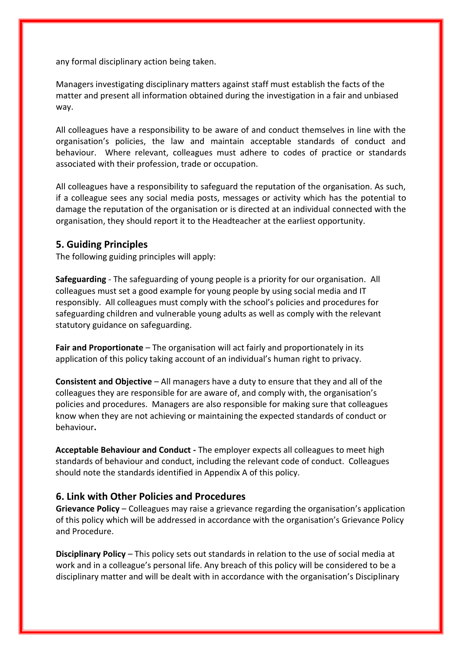any formal disciplinary action being taken.

Managers investigating disciplinary matters against staff must establish the facts of the matter and present all information obtained during the investigation in a fair and unbiased way.

All colleagues have a responsibility to be aware of and conduct themselves in line with the organisation's policies, the law and maintain acceptable standards of conduct and behaviour. Where relevant, colleagues must adhere to codes of practice or standards associated with their profession, trade or occupation.

All colleagues have a responsibility to safeguard the reputation of the organisation. As such, if a colleague sees any social media posts, messages or activity which has the potential to damage the reputation of the organisation or is directed at an individual connected with the organisation, they should report it to the Headteacher at the earliest opportunity.

#### **5. Guiding Principles**

The following guiding principles will apply:

**Safeguarding** - The safeguarding of young people is a priority for our organisation. All colleagues must set a good example for young people by using social media and IT responsibly. All colleagues must comply with the school's policies and procedures for safeguarding children and vulnerable young adults as well as comply with the relevant statutory guidance on safeguarding.

**Fair and Proportionate** – The organisation will act fairly and proportionately in its application of this policy taking account of an individual's human right to privacy.

**Consistent and Objective** – All managers have a duty to ensure that they and all of the colleagues they are responsible for are aware of, and comply with, the organisation's policies and procedures. Managers are also responsible for making sure that colleagues know when they are not achieving or maintaining the expected standards of conduct or behaviour**.**

**Acceptable Behaviour and Conduct -** The employer expects all colleagues to meet high standards of behaviour and conduct, including the relevant code of conduct. Colleagues should note the standards identified in Appendix A of this policy.

### **6. Link with Other Policies and Procedures**

**Grievance Policy** – Colleagues may raise a grievance regarding the organisation's application of this policy which will be addressed in accordance with the organisation's Grievance Policy and Procedure.

**Disciplinary Policy** – This policy sets out standards in relation to the use of social media at work and in a colleague's personal life. Any breach of this policy will be considered to be a disciplinary matter and will be dealt with in accordance with the organisation's Disciplinary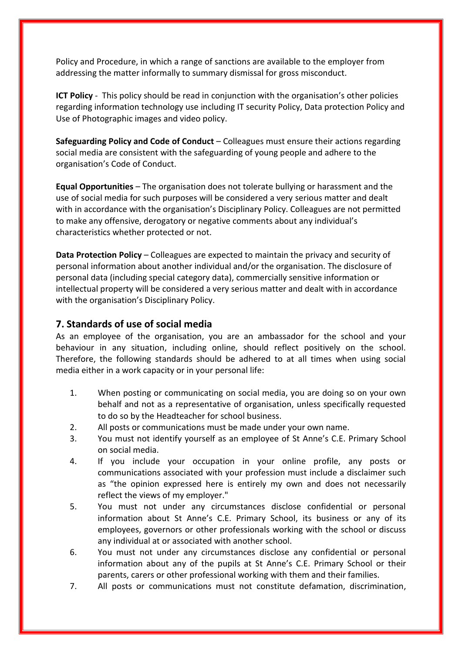Policy and Procedure, in which a range of sanctions are available to the employer from addressing the matter informally to summary dismissal for gross misconduct.

**ICT Policy** - This policy should be read in conjunction with the organisation's other policies regarding information technology use including IT security Policy, Data protection Policy and Use of Photographic images and video policy.

**Safeguarding Policy and Code of Conduct** – Colleagues must ensure their actions regarding social media are consistent with the safeguarding of young people and adhere to the organisation's Code of Conduct.

**Equal Opportunities** – The organisation does not tolerate bullying or harassment and the use of social media for such purposes will be considered a very serious matter and dealt with in accordance with the organisation's Disciplinary Policy. Colleagues are not permitted to make any offensive, derogatory or negative comments about any individual's characteristics whether protected or not.

**Data Protection Policy** – Colleagues are expected to maintain the privacy and security of personal information about another individual and/or the organisation. The disclosure of personal data (including special category data), commercially sensitive information or intellectual property will be considered a very serious matter and dealt with in accordance with the organisation's Disciplinary Policy.

### **7. Standards of use of social media**

As an employee of the organisation, you are an ambassador for the school and your behaviour in any situation, including online, should reflect positively on the school. Therefore, the following standards should be adhered to at all times when using social media either in a work capacity or in your personal life:

- 1. When posting or communicating on social media, you are doing so on your own behalf and not as a representative of organisation, unless specifically requested to do so by the Headteacher for school business.
- 2. All posts or communications must be made under your own name.
- 3. You must not identify yourself as an employee of St Anne's C.E. Primary School on social media.
- 4. If you include your occupation in your online profile, any posts or communications associated with your profession must include a disclaimer such as "the opinion expressed here is entirely my own and does not necessarily reflect the views of my employer."
- 5. You must not under any circumstances disclose confidential or personal information about St Anne's C.E. Primary School, its business or any of its employees, governors or other professionals working with the school or discuss any individual at or associated with another school.
- 6. You must not under any circumstances disclose any confidential or personal information about any of the pupils at St Anne's C.E. Primary School or their parents, carers or other professional working with them and their families.
- 7. All posts or communications must not constitute defamation, discrimination,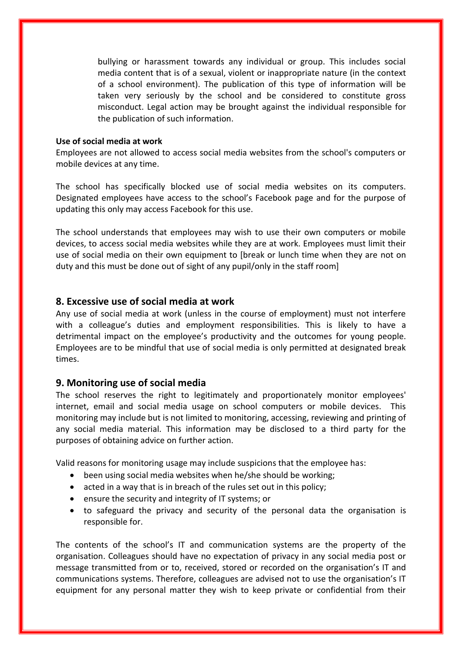bullying or harassment towards any individual or group. This includes social media content that is of a sexual, violent or inappropriate nature (in the context of a school environment). The publication of this type of information will be taken very seriously by the school and be considered to constitute gross misconduct. Legal action may be brought against the individual responsible for the publication of such information.

#### **Use of social media at work**

Employees are not allowed to access social media websites from the school's computers or mobile devices at any time.

The school has specifically blocked use of social media websites on its computers. Designated employees have access to the school's Facebook page and for the purpose of updating this only may access Facebook for this use.

The school understands that employees may wish to use their own computers or mobile devices, to access social media websites while they are at work. Employees must limit their use of social media on their own equipment to [break or lunch time when they are not on duty and this must be done out of sight of any pupil/only in the staff room]

### **8. Excessive use of social media at work**

Any use of social media at work (unless in the course of employment) must not interfere with a colleague's duties and employment responsibilities. This is likely to have a detrimental impact on the employee's productivity and the outcomes for young people. Employees are to be mindful that use of social media is only permitted at designated break times.

#### **9. Monitoring use of social media**

The school reserves the right to legitimately and proportionately monitor employees' internet, email and social media usage on school computers or mobile devices. This monitoring may include but is not limited to monitoring, accessing, reviewing and printing of any social media material. This information may be disclosed to a third party for the purposes of obtaining advice on further action.

Valid reasons for monitoring usage may include suspicions that the employee has:

- been using social media websites when he/she should be working;
- acted in a way that is in breach of the rules set out in this policy;
- ensure the security and integrity of IT systems; or
- to safeguard the privacy and security of the personal data the organisation is responsible for.

The contents of the school's IT and communication systems are the property of the organisation. Colleagues should have no expectation of privacy in any social media post or message transmitted from or to, received, stored or recorded on the organisation's IT and communications systems. Therefore, colleagues are advised not to use the organisation's IT equipment for any personal matter they wish to keep private or confidential from their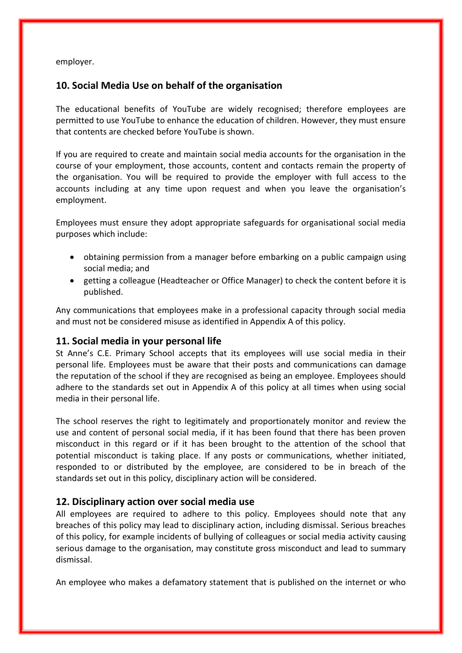employer.

### **10. Social Media Use on behalf of the organisation**

The educational benefits of YouTube are widely recognised; therefore employees are permitted to use YouTube to enhance the education of children. However, they must ensure that contents are checked before YouTube is shown.

If you are required to create and maintain social media accounts for the organisation in the course of your employment, those accounts, content and contacts remain the property of the organisation. You will be required to provide the employer with full access to the accounts including at any time upon request and when you leave the organisation's employment.

Employees must ensure they adopt appropriate safeguards for organisational social media purposes which include:

- obtaining permission from a manager before embarking on a public campaign using social media; and
- getting a colleague (Headteacher or Office Manager) to check the content before it is published.

Any communications that employees make in a professional capacity through social media and must not be considered misuse as identified in Appendix A of this policy.

### **11. Social media in your personal life**

St Anne's C.E. Primary School accepts that its employees will use social media in their personal life. Employees must be aware that their posts and communications can damage the reputation of the school if they are recognised as being an employee. Employees should adhere to the standards set out in Appendix A of this policy at all times when using social media in their personal life.

The school reserves the right to legitimately and proportionately monitor and review the use and content of personal social media, if it has been found that there has been proven misconduct in this regard or if it has been brought to the attention of the school that potential misconduct is taking place. If any posts or communications, whether initiated, responded to or distributed by the employee, are considered to be in breach of the standards set out in this policy, disciplinary action will be considered.

### **12. Disciplinary action over social media use**

All employees are required to adhere to this policy. Employees should note that any breaches of this policy may lead to disciplinary action, including dismissal. Serious breaches of this policy, for example incidents of bullying of colleagues or social media activity causing serious damage to the organisation, may constitute gross misconduct and lead to summary dismissal.

An employee who makes a defamatory statement that is published on the internet or who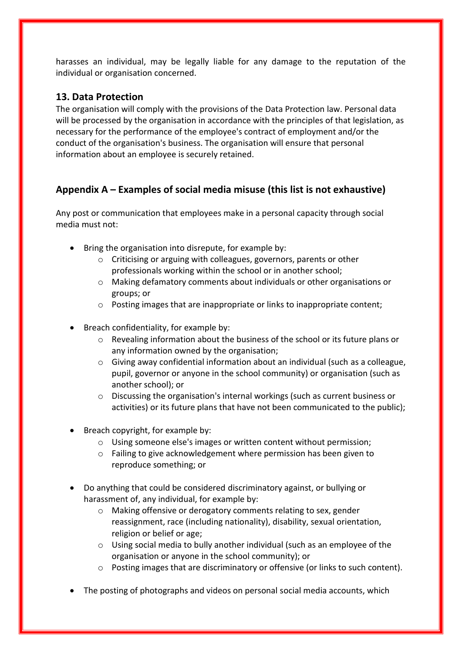harasses an individual, may be legally liable for any damage to the reputation of the individual or organisation concerned.

## **13. Data Protection**

The organisation will comply with the provisions of the Data Protection law. Personal data will be processed by the organisation in accordance with the principles of that legislation, as necessary for the performance of the employee's contract of employment and/or the conduct of the organisation's business. The organisation will ensure that personal information about an employee is securely retained.

# **Appendix A – Examples of social media misuse (this list is not exhaustive)**

Any post or communication that employees make in a personal capacity through social media must not:

- Bring the organisation into disrepute, for example by:
	- o Criticising or arguing with colleagues, governors, parents or other professionals working within the school or in another school;
	- o Making defamatory comments about individuals or other organisations or groups; or
	- o Posting images that are inappropriate or links to inappropriate content;
- Breach confidentiality, for example by:
	- $\circ$  Revealing information about the business of the school or its future plans or any information owned by the organisation;
	- $\circ$  Giving away confidential information about an individual (such as a colleague, pupil, governor or anyone in the school community) or organisation (such as another school); or
	- o Discussing the organisation's internal workings (such as current business or activities) or its future plans that have not been communicated to the public);
- $\bullet$  Breach copyright, for example by:
	- o Using someone else's images or written content without permission;
	- o Failing to give acknowledgement where permission has been given to reproduce something; or
- Do anything that could be considered discriminatory against, or bullying or harassment of, any individual, for example by:
	- o Making offensive or derogatory comments relating to sex, gender reassignment, race (including nationality), disability, sexual orientation, religion or belief or age;
	- o Using social media to bully another individual (such as an employee of the organisation or anyone in the school community); or
	- $\circ$  Posting images that are discriminatory or offensive (or links to such content).
- The posting of photographs and videos on personal social media accounts, which